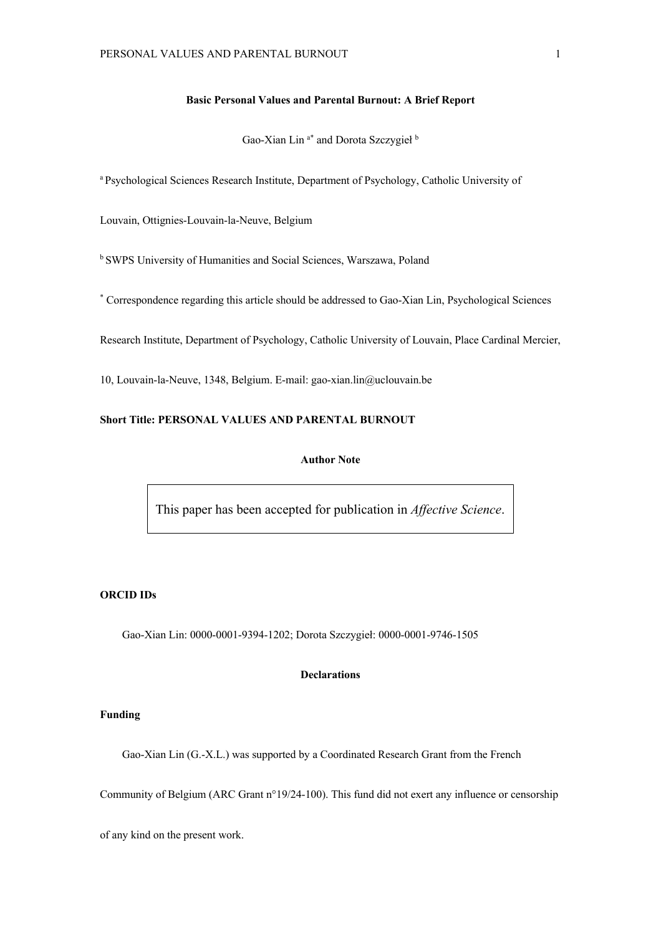## **Basic Personal Values and Parental Burnout: A Brief Report**

Gao-Xian Lin<sup>a\*</sup> and Dorota Szczygieł <sup>b</sup>

a Psychological Sciences Research Institute, Department of Psychology, Catholic University of

Louvain, Ottignies-Louvain-la-Neuve, Belgium

b SWPS University of Humanities and Social Sciences, Warszawa, Poland

\* Correspondence regarding this article should be addressed to Gao-Xian Lin, Psychological Sciences

Research Institute, Department of Psychology, Catholic University of Louvain, Place Cardinal Mercier,

10, Louvain-la-Neuve, 1348, Belgium. E-mail: gao-xian.lin@uclouvain.be

## **Short Title: PERSONAL VALUES AND PARENTAL BURNOUT**

## **Author Note**

This paper has been accepted for publication in *Affective Science*.

## **ORCID IDs**

Gao-Xian Lin: 0000-0001-9394-1202; Dorota Szczygieł: 0000-0001-9746-1505

## **Declarations**

## **Funding**

Gao-Xian Lin (G.-X.L.) was supported by a Coordinated Research Grant from the French

Community of Belgium (ARC Grant n°19/24-100). This fund did not exert any influence or censorship

of any kind on the present work.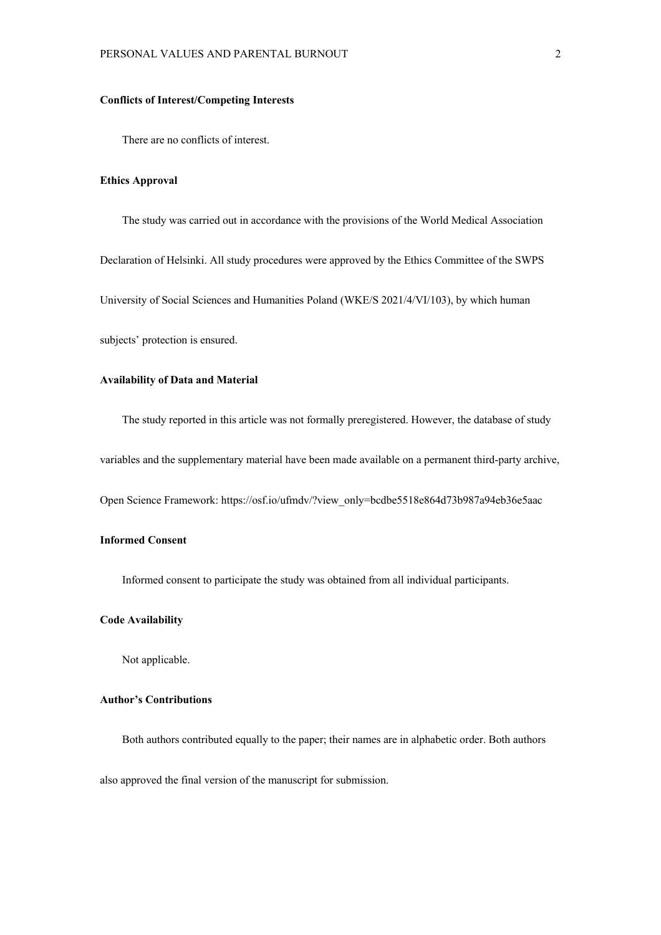## **Conflicts of Interest/Competing Interests**

There are no conflicts of interest.

## **Ethics Approval**

The study was carried out in accordance with the provisions of the World Medical Association Declaration of Helsinki. All study procedures were approved by the Ethics Committee of the SWPS University of Social Sciences and Humanities Poland (WKE/S 2021/4/VI/103), by which human subjects' protection is ensured.

#### **Availability of Data and Material**

The study reported in this article was not formally preregistered. However, the database of study

variables and the supplementary material have been made available on a permanent third-party archive,

Open Science Framework: https://osf.io/ufmdv/?view\_only=bcdbe5518e864d73b987a94eb36e5aac

## **Informed Consent**

Informed consent to participate the study was obtained from all individual participants.

### **Code Availability**

Not applicable.

# **Author's Contributions**

Both authors contributed equally to the paper; their names are in alphabetic order. Both authors also approved the final version of the manuscript for submission.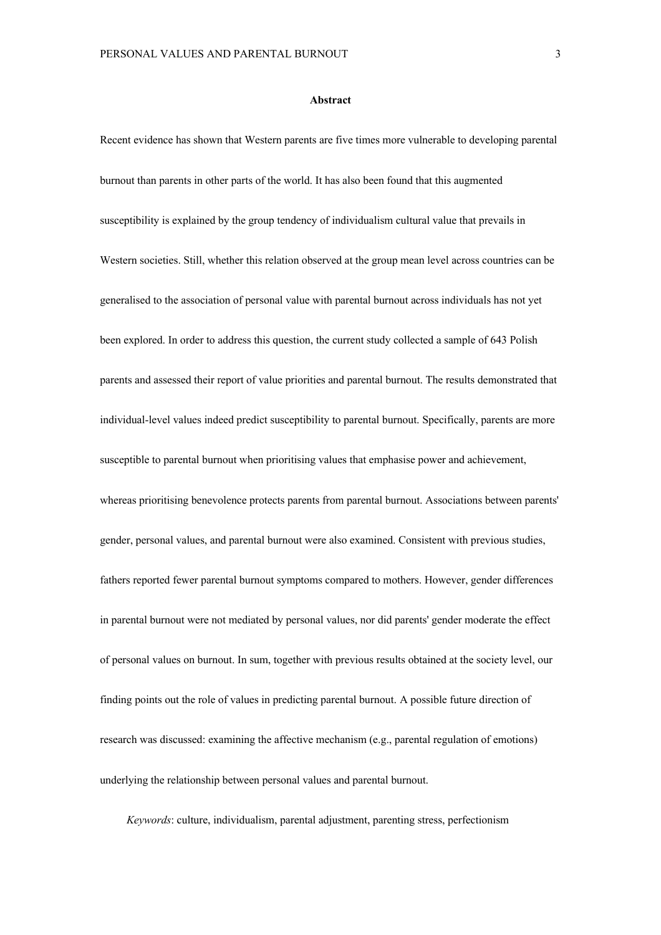#### **Abstract**

Recent evidence has shown that Western parents are five times more vulnerable to developing parental burnout than parents in other parts of the world. It has also been found that this augmented susceptibility is explained by the group tendency of individualism cultural value that prevails in Western societies. Still, whether this relation observed at the group mean level across countries can be generalised to the association of personal value with parental burnout across individuals has not yet been explored. In order to address this question, the current study collected a sample of 643 Polish parents and assessed their report of value priorities and parental burnout. The results demonstrated that individual-level values indeed predict susceptibility to parental burnout. Specifically, parents are more susceptible to parental burnout when prioritising values that emphasise power and achievement, whereas prioritising benevolence protects parents from parental burnout. Associations between parents' gender, personal values, and parental burnout were also examined. Consistent with previous studies, fathers reported fewer parental burnout symptoms compared to mothers. However, gender differences in parental burnout were not mediated by personal values, nor did parents' gender moderate the effect of personal values on burnout. In sum, together with previous results obtained at the society level, our finding points out the role of values in predicting parental burnout. A possible future direction of research was discussed: examining the affective mechanism (e.g., parental regulation of emotions) underlying the relationship between personal values and parental burnout.

*Keywords*: culture, individualism, parental adjustment, parenting stress, perfectionism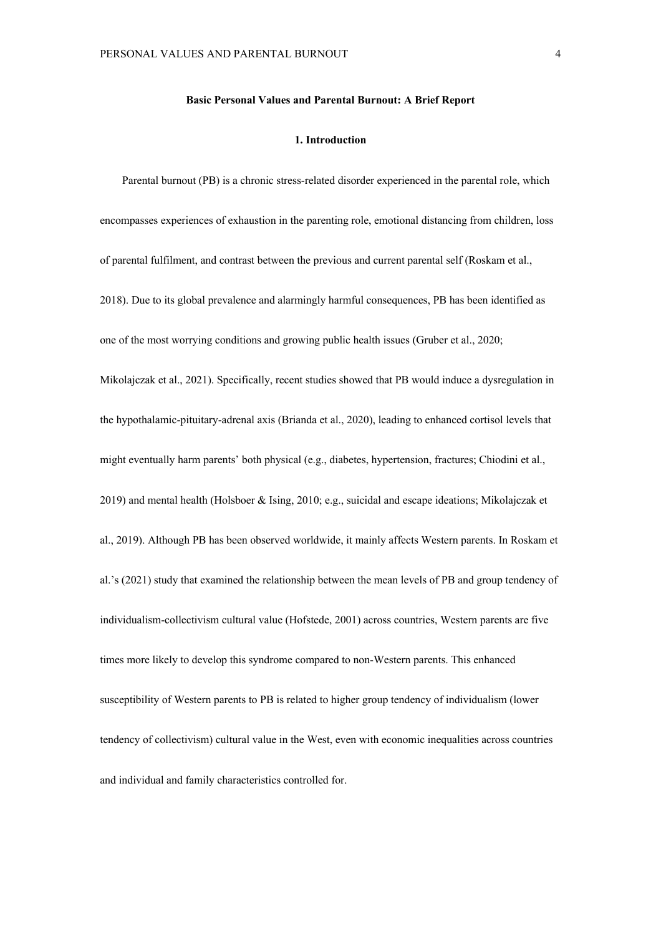## **Basic Personal Values and Parental Burnout: A Brief Report**

## **1. Introduction**

Parental burnout (PB) is a chronic stress-related disorder experienced in the parental role, which encompasses experiences of exhaustion in the parenting role, emotional distancing from children, loss of parental fulfilment, and contrast between the previous and current parental self (Roskam et al., 2018). Due to its global prevalence and alarmingly harmful consequences, PB has been identified as one of the most worrying conditions and growing public health issues (Gruber et al., 2020; Mikolajczak et al., 2021). Specifically, recent studies showed that PB would induce a dysregulation in the hypothalamic-pituitary-adrenal axis (Brianda et al., 2020), leading to enhanced cortisol levels that might eventually harm parents' both physical (e.g., diabetes, hypertension, fractures; Chiodini et al., 2019) and mental health (Holsboer & Ising, 2010; e.g., suicidal and escape ideations; Mikolajczak et al., 2019). Although PB has been observed worldwide, it mainly affects Western parents. In Roskam et al.'s (2021) study that examined the relationship between the mean levels of PB and group tendency of individualism-collectivism cultural value (Hofstede, 2001) across countries, Western parents are five times more likely to develop this syndrome compared to non-Western parents. This enhanced susceptibility of Western parents to PB is related to higher group tendency of individualism (lower tendency of collectivism) cultural value in the West, even with economic inequalities across countries and individual and family characteristics controlled for.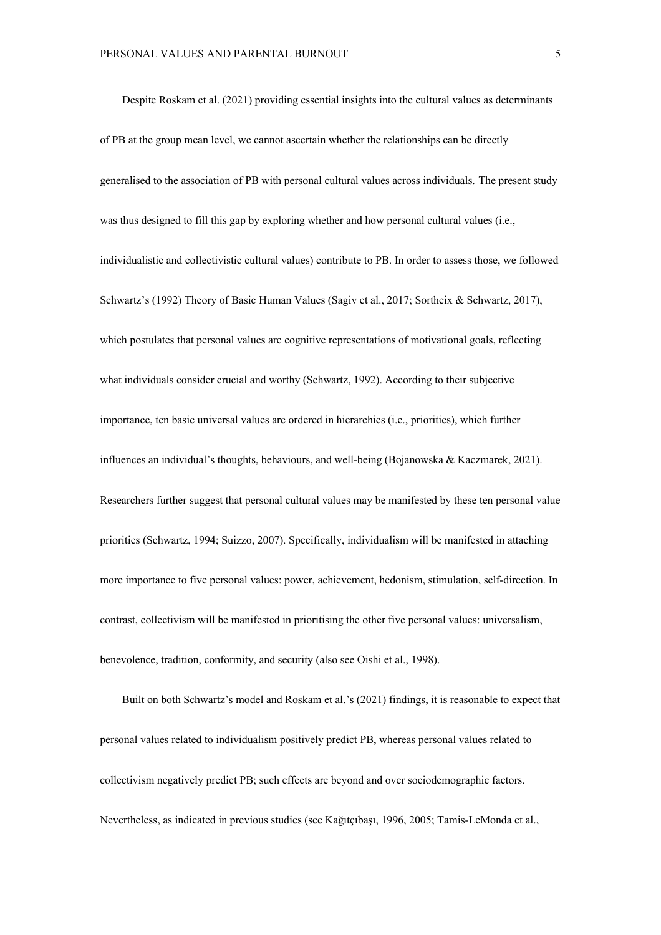Despite Roskam et al. (2021) providing essential insights into the cultural values as determinants of PB at the group mean level, we cannot ascertain whether the relationships can be directly generalised to the association of PB with personal cultural values across individuals. The present study was thus designed to fill this gap by exploring whether and how personal cultural values (i.e., individualistic and collectivistic cultural values) contribute to PB. In order to assess those, we followed Schwartz's (1992) Theory of Basic Human Values (Sagiv et al., 2017; Sortheix & Schwartz, 2017), which postulates that personal values are cognitive representations of motivational goals, reflecting what individuals consider crucial and worthy (Schwartz, 1992). According to their subjective importance, ten basic universal values are ordered in hierarchies (i.e., priorities), which further influences an individual's thoughts, behaviours, and well-being (Bojanowska & Kaczmarek, 2021). Researchers further suggest that personal cultural values may be manifested by these ten personal value priorities (Schwartz, 1994; Suizzo, 2007). Specifically, individualism will be manifested in attaching more importance to five personal values: power, achievement, hedonism, stimulation, self-direction. In contrast, collectivism will be manifested in prioritising the other five personal values: universalism, benevolence, tradition, conformity, and security (also see Oishi et al., 1998).

Built on both Schwartz's model and Roskam et al.'s (2021) findings, it is reasonable to expect that personal values related to individualism positively predict PB, whereas personal values related to collectivism negatively predict PB; such effects are beyond and over sociodemographic factors. Nevertheless, as indicated in previous studies (see Kağıtçıbaşı, 1996, 2005; Tamis-LeMonda et al.,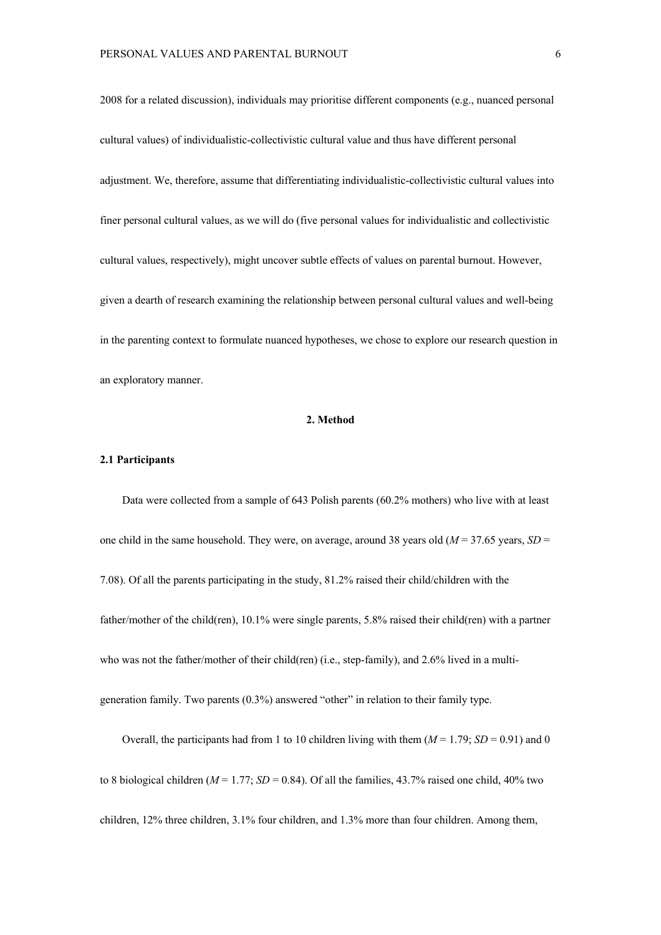2008 for a related discussion), individuals may prioritise different components (e.g., nuanced personal cultural values) of individualistic-collectivistic cultural value and thus have different personal adjustment. We, therefore, assume that differentiating individualistic-collectivistic cultural values into finer personal cultural values, as we will do (five personal values for individualistic and collectivistic cultural values, respectively), might uncover subtle effects of values on parental burnout. However, given a dearth of research examining the relationship between personal cultural values and well-being in the parenting context to formulate nuanced hypotheses, we chose to explore our research question in an exploratory manner.

## **2. Method**

#### **2.1 Participants**

Data were collected from a sample of 643 Polish parents (60.2% mothers) who live with at least one child in the same household. They were, on average, around 38 years old (*M* = 37.65 years, *SD* = 7.08). Of all the parents participating in the study, 81.2% raised their child/children with the father/mother of the child(ren), 10.1% were single parents, 5.8% raised their child(ren) with a partner who was not the father/mother of their child(ren) (i.e., step-family), and 2.6% lived in a multigeneration family. Two parents (0.3%) answered "other" in relation to their family type.

Overall, the participants had from 1 to 10 children living with them  $(M = 1.79; SD = 0.91)$  and 0 to 8 biological children ( $M = 1.77$ ;  $SD = 0.84$ ). Of all the families, 43.7% raised one child, 40% two children, 12% three children, 3.1% four children, and 1.3% more than four children. Among them,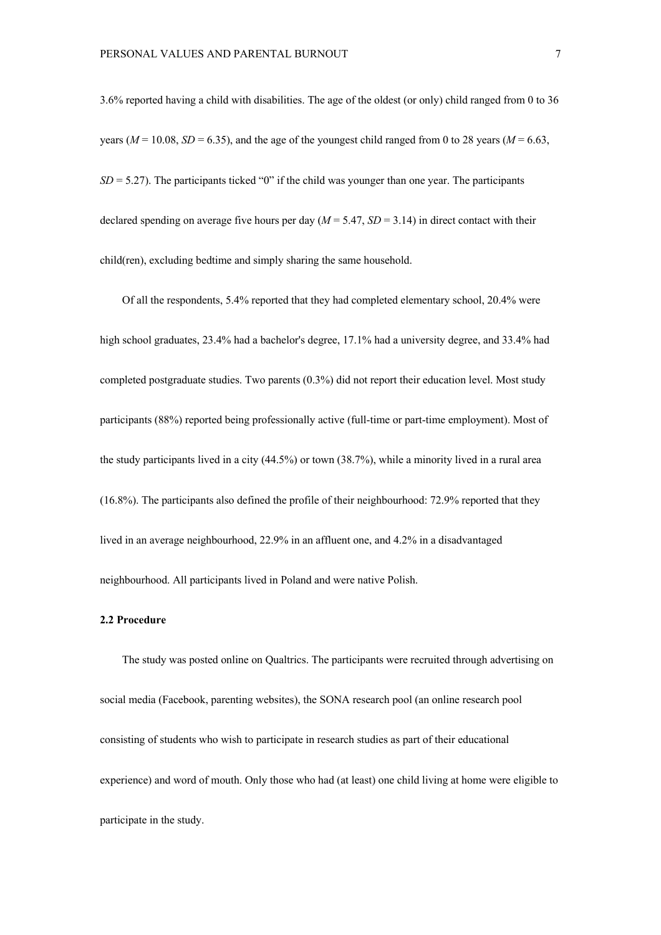3.6% reported having a child with disabilities. The age of the oldest (or only) child ranged from 0 to 36 years ( $M = 10.08$ ,  $SD = 6.35$ ), and the age of the youngest child ranged from 0 to 28 years ( $M = 6.63$ ,  $SD = 5.27$ ). The participants ticked "0" if the child was younger than one year. The participants declared spending on average five hours per day  $(M = 5.47, SD = 3.14)$  in direct contact with their child(ren), excluding bedtime and simply sharing the same household.

Of all the respondents, 5.4% reported that they had completed elementary school, 20.4% were high school graduates, 23.4% had a bachelor's degree, 17.1% had a university degree, and 33.4% had completed postgraduate studies. Two parents (0.3%) did not report their education level. Most study participants (88%) reported being professionally active (full-time or part-time employment). Most of the study participants lived in a city (44.5%) or town (38.7%), while a minority lived in a rural area (16.8%). The participants also defined the profile of their neighbourhood: 72.9% reported that they lived in an average neighbourhood, 22.9% in an affluent one, and 4.2% in a disadvantaged neighbourhood. All participants lived in Poland and were native Polish.

### **2.2 Procedure**

The study was posted online on Qualtrics. The participants were recruited through advertising on social media (Facebook, parenting websites), the SONA research pool (an online research pool consisting of students who wish to participate in research studies as part of their educational experience) and word of mouth. Only those who had (at least) one child living at home were eligible to participate in the study.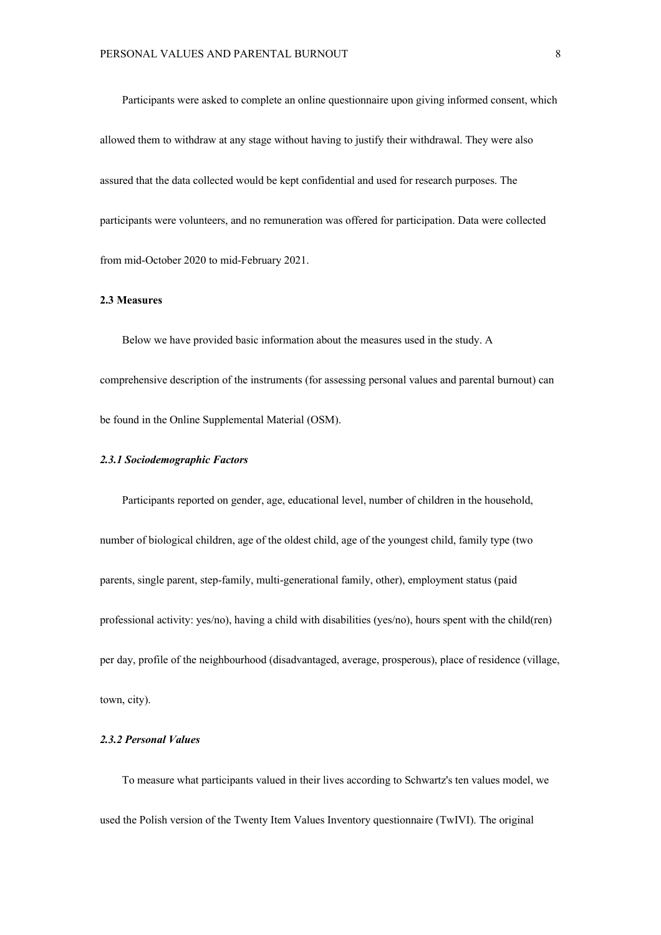Participants were asked to complete an online questionnaire upon giving informed consent, which allowed them to withdraw at any stage without having to justify their withdrawal. They were also assured that the data collected would be kept confidential and used for research purposes. The participants were volunteers, and no remuneration was offered for participation. Data were collected from mid-October 2020 to mid-February 2021.

## **2.3 Measures**

Below we have provided basic information about the measures used in the study. A comprehensive description of the instruments (for assessing personal values and parental burnout) can be found in the Online Supplemental Material (OSM).

## *2.3.1 Sociodemographic Factors*

Participants reported on gender, age, educational level, number of children in the household, number of biological children, age of the oldest child, age of the youngest child, family type (two parents, single parent, step-family, multi-generational family, other), employment status (paid professional activity: yes/no), having a child with disabilities (yes/no), hours spent with the child(ren) per day, profile of the neighbourhood (disadvantaged, average, prosperous), place of residence (village, town, city).

## *2.3.2 Personal Values*

To measure what participants valued in their lives according to Schwartz's ten values model, we used the Polish version of the Twenty Item Values Inventory questionnaire (TwIVI). The original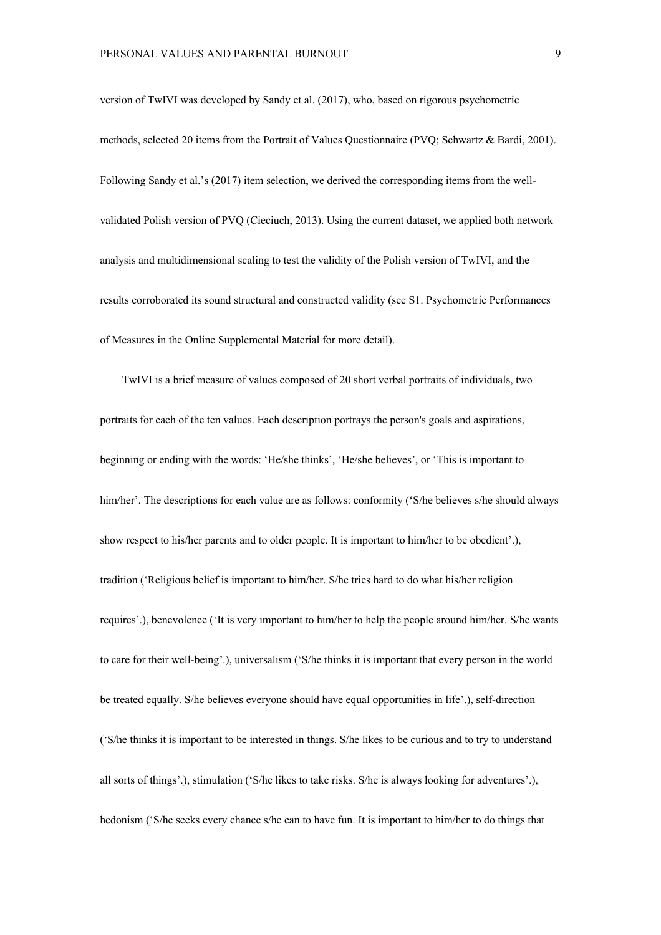version of TwIVI was developed by Sandy et al. (2017), who, based on rigorous psychometric methods, selected 20 items from the Portrait of Values Questionnaire (PVQ; Schwartz & Bardi, 2001). Following Sandy et al.'s (2017) item selection, we derived the corresponding items from the wellvalidated Polish version of PVQ (Cieciuch, 2013). Using the current dataset, we applied both network analysis and multidimensional scaling to test the validity of the Polish version of TwIVI, and the results corroborated its sound structural and constructed validity (see S1. Psychometric Performances of Measures in the Online Supplemental Material for more detail).

TwIVI is a brief measure of values composed of 20 short verbal portraits of individuals, two portraits for each of the ten values. Each description portrays the person's goals and aspirations, beginning or ending with the words: 'He/she thinks', 'He/she believes', or 'This is important to him/her'. The descriptions for each value are as follows: conformity ('S/he believes s/he should always show respect to his/her parents and to older people. It is important to him/her to be obedient'.), tradition ('Religious belief is important to him/her. S/he tries hard to do what his/her religion requires'.), benevolence ('It is very important to him/her to help the people around him/her. S/he wants to care for their well-being'.), universalism ('S/he thinks it is important that every person in the world be treated equally. S/he believes everyone should have equal opportunities in life'.), self-direction ('S/he thinks it is important to be interested in things. S/he likes to be curious and to try to understand all sorts of things'.), stimulation ('S/he likes to take risks. S/he is always looking for adventures'.), hedonism ('S/he seeks every chance s/he can to have fun. It is important to him/her to do things that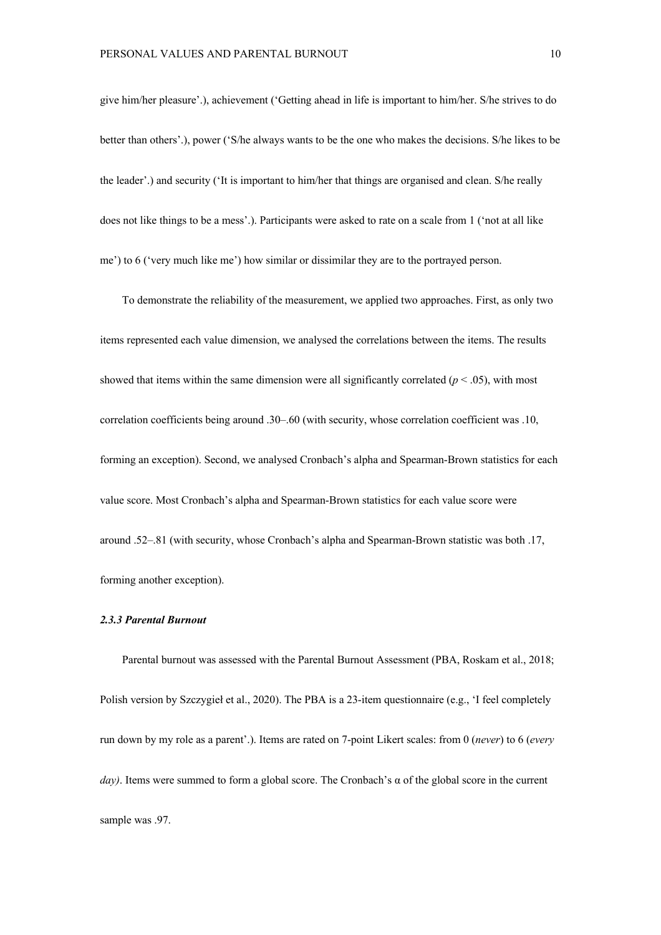give him/her pleasure'.), achievement ('Getting ahead in life is important to him/her. S/he strives to do better than others'.), power ('S/he always wants to be the one who makes the decisions. S/he likes to be the leader'.) and security ('It is important to him/her that things are organised and clean. S/he really does not like things to be a mess'.). Participants were asked to rate on a scale from 1 ('not at all like me') to 6 ('very much like me') how similar or dissimilar they are to the portrayed person.

To demonstrate the reliability of the measurement, we applied two approaches. First, as only two items represented each value dimension, we analysed the correlations between the items. The results showed that items within the same dimension were all significantly correlated  $(p < .05)$ , with most correlation coefficients being around .30–.60 (with security, whose correlation coefficient was .10, forming an exception). Second, we analysed Cronbach's alpha and Spearman-Brown statistics for each value score. Most Cronbach's alpha and Spearman-Brown statistics for each value score were around .52–.81 (with security, whose Cronbach's alpha and Spearman-Brown statistic was both .17, forming another exception).

#### *2.3.3 Parental Burnout*

Parental burnout was assessed with the Parental Burnout Assessment (PBA, Roskam et al., 2018; Polish version by Szczygieł et al., 2020). The PBA is a 23-item questionnaire (e.g., 'I feel completely run down by my role as a parent'.). Items are rated on 7-point Likert scales: from 0 (*never*) to 6 (*every day)*. Items were summed to form a global score. The Cronbach's α of the global score in the current sample was .97.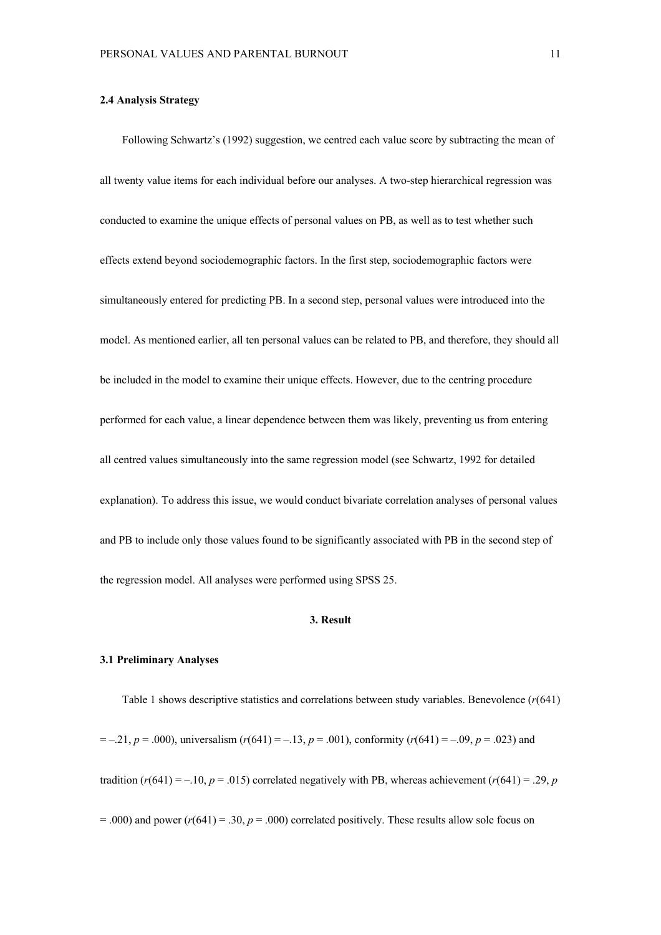#### **2.4 Analysis Strategy**

Following Schwartz's (1992) suggestion, we centred each value score by subtracting the mean of all twenty value items for each individual before our analyses. A two-step hierarchical regression was conducted to examine the unique effects of personal values on PB, as well as to test whether such effects extend beyond sociodemographic factors. In the first step, sociodemographic factors were simultaneously entered for predicting PB. In a second step, personal values were introduced into the model. As mentioned earlier, all ten personal values can be related to PB, and therefore, they should all be included in the model to examine their unique effects. However, due to the centring procedure performed for each value, a linear dependence between them was likely, preventing us from entering all centred values simultaneously into the same regression model (see Schwartz, 1992 for detailed explanation). To address this issue, we would conduct bivariate correlation analyses of personal values and PB to include only those values found to be significantly associated with PB in the second step of the regression model. All analyses were performed using SPSS 25.

#### **3. Result**

#### **3.1 Preliminary Analyses**

Table 1 shows descriptive statistics and correlations between study variables. Benevolence (*r*(641)  $= -0.21, p = 0.000$ , universalism ( $r(641) = -0.13, p = 0.001$ ), conformity ( $r(641) = -0.09, p = 0.023$ ) and tradition  $(r(641) = -10, p = .015)$  correlated negatively with PB, whereas achievement  $(r(641) = .29, p$  $=$  .000) and power ( $r(641) = .30$ ,  $p = .000$ ) correlated positively. These results allow sole focus on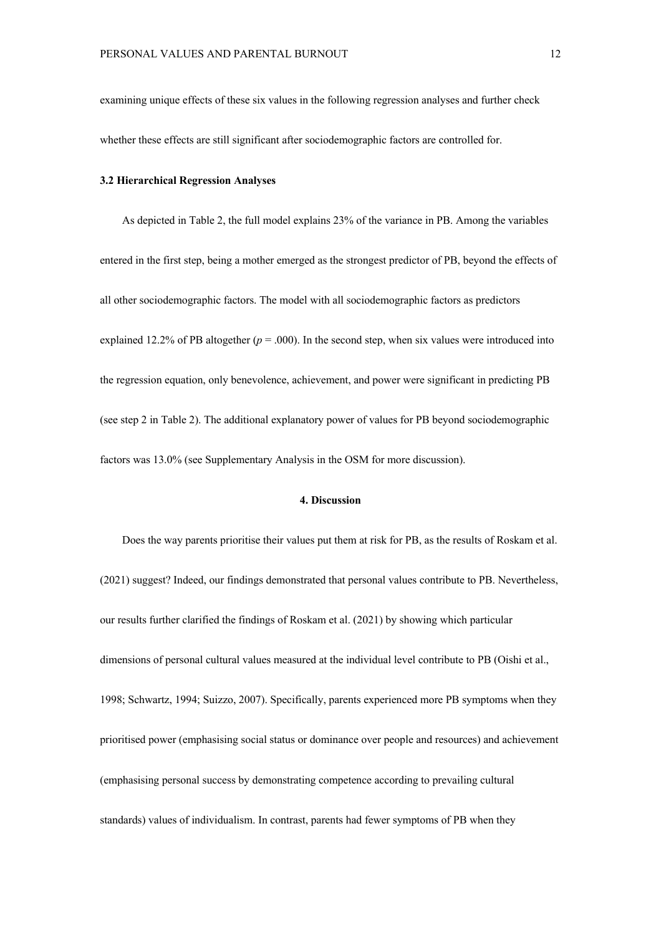examining unique effects of these six values in the following regression analyses and further check whether these effects are still significant after sociodemographic factors are controlled for.

## **3.2 Hierarchical Regression Analyses**

As depicted in Table 2, the full model explains 23% of the variance in PB. Among the variables entered in the first step, being a mother emerged as the strongest predictor of PB, beyond the effects of all other sociodemographic factors. The model with all sociodemographic factors as predictors explained 12.2% of PB altogether  $(p = .000)$ . In the second step, when six values were introduced into the regression equation, only benevolence, achievement, and power were significant in predicting PB (see step 2 in Table 2). The additional explanatory power of values for PB beyond sociodemographic factors was 13.0% (see Supplementary Analysis in the OSM for more discussion).

## **4. Discussion**

Does the way parents prioritise their values put them at risk for PB, as the results of Roskam et al. (2021) suggest? Indeed, our findings demonstrated that personal values contribute to PB. Nevertheless, our results further clarified the findings of Roskam et al. (2021) by showing which particular dimensions of personal cultural values measured at the individual level contribute to PB (Oishi et al., 1998; Schwartz, 1994; Suizzo, 2007). Specifically, parents experienced more PB symptoms when they prioritised power (emphasising social status or dominance over people and resources) and achievement (emphasising personal success by demonstrating competence according to prevailing cultural standards) values of individualism. In contrast, parents had fewer symptoms of PB when they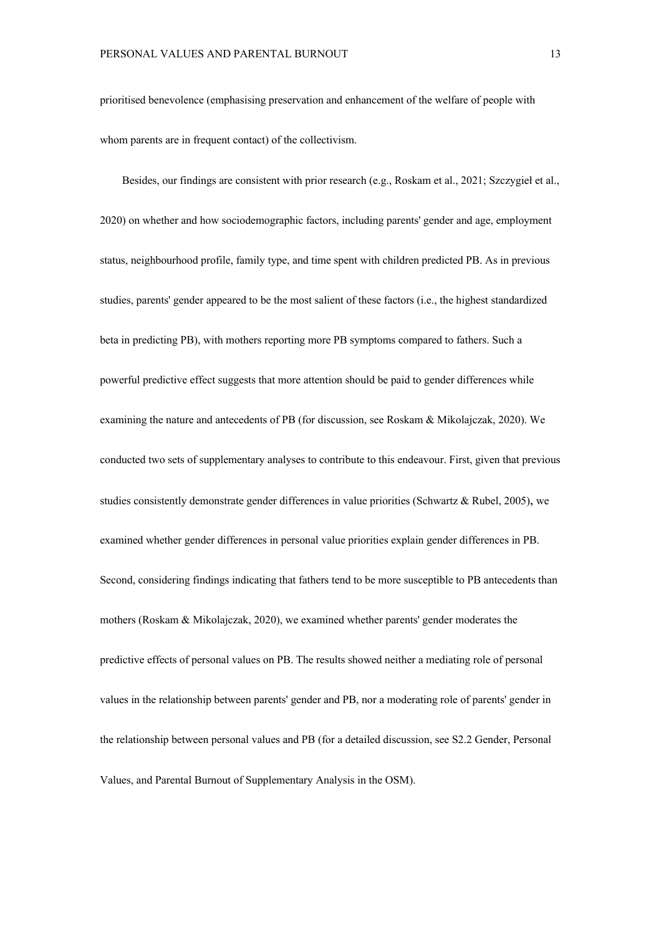prioritised benevolence (emphasising preservation and enhancement of the welfare of people with whom parents are in frequent contact) of the collectivism.

Besides, our findings are consistent with prior research (e.g., Roskam et al., 2021; Szczygieł et al., 2020) on whether and how sociodemographic factors, including parents' gender and age, employment status, neighbourhood profile, family type, and time spent with children predicted PB. As in previous studies, parents' gender appeared to be the most salient of these factors (i.e., the highest standardized beta in predicting PB), with mothers reporting more PB symptoms compared to fathers. Such a powerful predictive effect suggests that more attention should be paid to gender differences while examining the nature and antecedents of PB (for discussion, see Roskam & Mikolajczak, 2020). We conducted two sets of supplementary analyses to contribute to this endeavour. First, given that previous studies consistently demonstrate gender differences in value priorities (Schwartz & Rubel, 2005), we examined whether gender differences in personal value priorities explain gender differences in PB. Second, considering findings indicating that fathers tend to be more susceptible to PB antecedents than mothers (Roskam & Mikolajczak, 2020), we examined whether parents' gender moderates the predictive effects of personal values on PB. The results showed neither a mediating role of personal values in the relationship between parents' gender and PB, nor a moderating role of parents' gender in the relationship between personal values and PB (for a detailed discussion, see S2.2 Gender, Personal Values, and Parental Burnout of Supplementary Analysis in the OSM).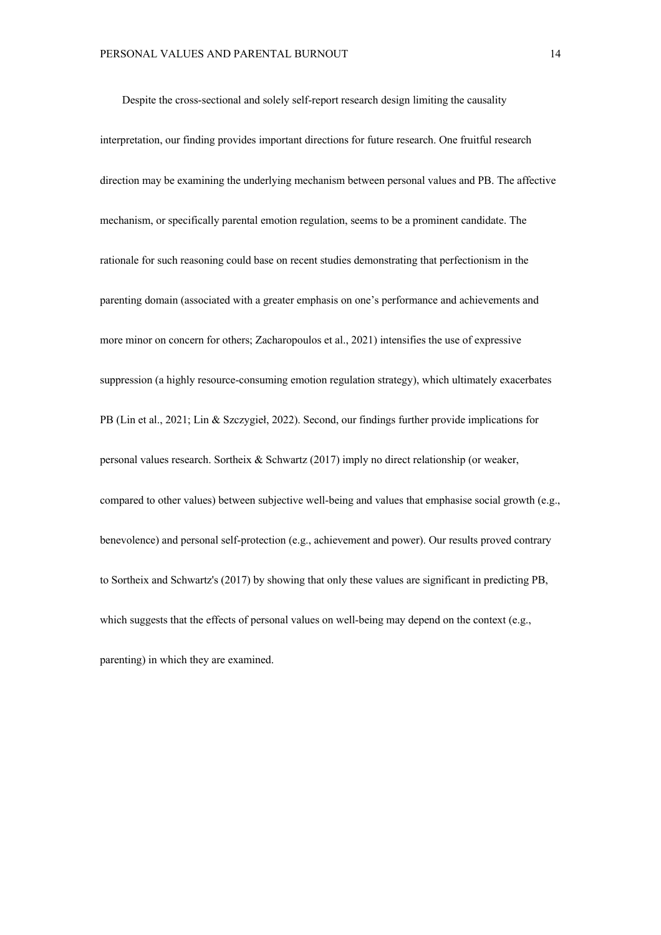Despite the cross-sectional and solely self-report research design limiting the causality interpretation, our finding provides important directions for future research. One fruitful research direction may be examining the underlying mechanism between personal values and PB. The affective mechanism, or specifically parental emotion regulation, seems to be a prominent candidate. The rationale for such reasoning could base on recent studies demonstrating that perfectionism in the parenting domain (associated with a greater emphasis on one's performance and achievements and more minor on concern for others; Zacharopoulos et al., 2021) intensifies the use of expressive suppression (a highly resource-consuming emotion regulation strategy), which ultimately exacerbates PB (Lin et al., 2021; Lin & Szczygieł, 2022). Second, our findings further provide implications for personal values research. Sortheix & Schwartz (2017) imply no direct relationship (or weaker, compared to other values) between subjective well-being and values that emphasise social growth (e.g., benevolence) and personal self-protection (e.g., achievement and power). Our results proved contrary to Sortheix and Schwartz's (2017) by showing that only these values are significant in predicting PB, which suggests that the effects of personal values on well-being may depend on the context (e.g., parenting) in which they are examined.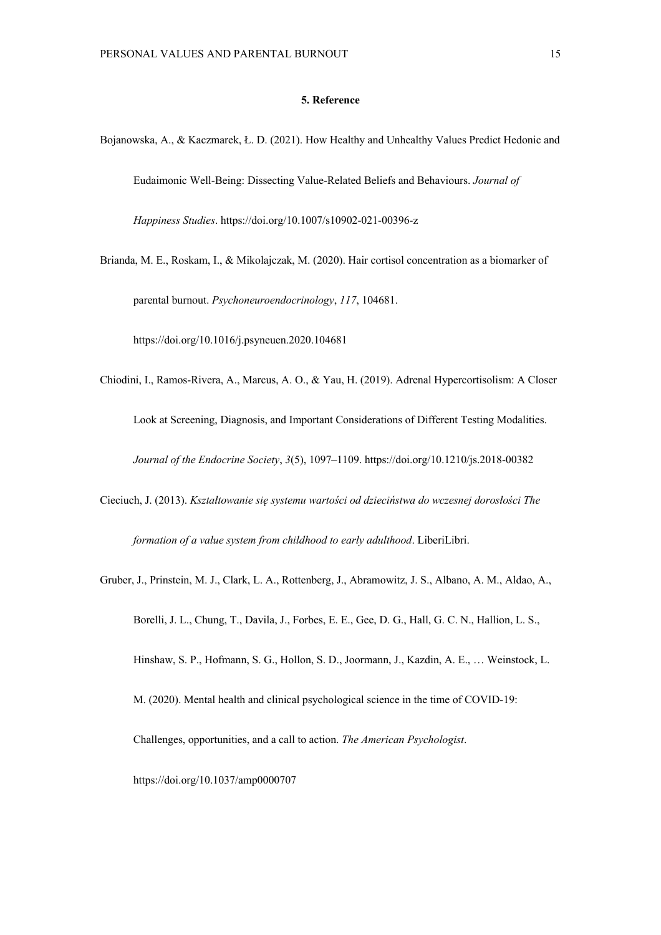## **5. Reference**

- Bojanowska, A., & Kaczmarek, Ł. D. (2021). How Healthy and Unhealthy Values Predict Hedonic and Eudaimonic Well-Being: Dissecting Value-Related Beliefs and Behaviours. *Journal of Happiness Studies*. https://doi.org/10.1007/s10902-021-00396-z
- Brianda, M. E., Roskam, I., & Mikolajczak, M. (2020). Hair cortisol concentration as a biomarker of parental burnout. *Psychoneuroendocrinology*, *117*, 104681.

https://doi.org/10.1016/j.psyneuen.2020.104681

- Chiodini, I., Ramos-Rivera, A., Marcus, A. O., & Yau, H. (2019). Adrenal Hypercortisolism: A Closer Look at Screening, Diagnosis, and Important Considerations of Different Testing Modalities. *Journal of the Endocrine Society*, *3*(5), 1097–1109. https://doi.org/10.1210/js.2018-00382
- Cieciuch, J. (2013). *Kształtowanie się systemu wartości od dzieciństwa do wczesnej dorosłości The formation of a value system from childhood to early adulthood*. LiberiLibri.
- Gruber, J., Prinstein, M. J., Clark, L. A., Rottenberg, J., Abramowitz, J. S., Albano, A. M., Aldao, A., Borelli, J. L., Chung, T., Davila, J., Forbes, E. E., Gee, D. G., Hall, G. C. N., Hallion, L. S., Hinshaw, S. P., Hofmann, S. G., Hollon, S. D., Joormann, J., Kazdin, A. E., … Weinstock, L. M. (2020). Mental health and clinical psychological science in the time of COVID-19: Challenges, opportunities, and a call to action. *The American Psychologist*. https://doi.org/10.1037/amp0000707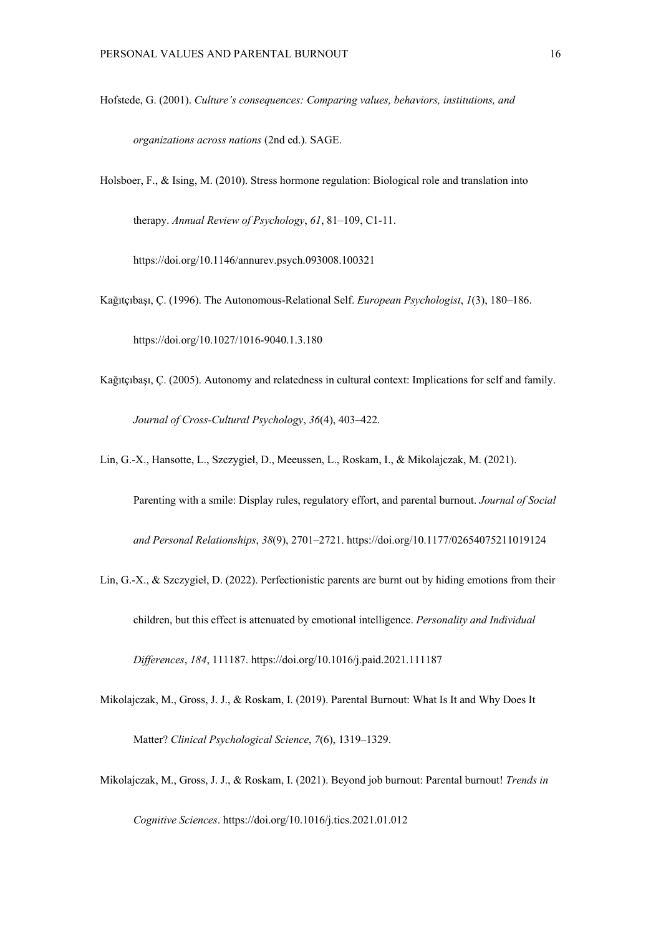Hofstede, G. (2001). *Culture's consequences: Comparing values, behaviors, institutions, and* 

*organizations across nations* (2nd ed.). SAGE.

Holsboer, F., & Ising, M. (2010). Stress hormone regulation: Biological role and translation into therapy. *Annual Review of Psychology*, *61*, 81–109, C1-11.

https://doi.org/10.1146/annurev.psych.093008.100321

Kağıtçıbaşı, Ç. (1996). The Autonomous-Relational Self. *European Psychologist*, *1*(3), 180–186.

https://doi.org/10.1027/1016-9040.1.3.180

- Kağıtçıbaşı, Ç. (2005). Autonomy and relatedness in cultural context: Implications for self and family. *Journal of Cross-Cultural Psychology*, *36*(4), 403–422.
- Lin, G.-X., Hansotte, L., Szczygieł, D., Meeussen, L., Roskam, I., & Mikolajczak, M. (2021).

Parenting with a smile: Display rules, regulatory effort, and parental burnout. *Journal of Social and Personal Relationships*, *38*(9), 2701–2721. https://doi.org/10.1177/02654075211019124

- Lin, G.-X., & Szczygieł, D. (2022). Perfectionistic parents are burnt out by hiding emotions from their children, but this effect is attenuated by emotional intelligence. *Personality and Individual Differences*, *184*, 111187. https://doi.org/10.1016/j.paid.2021.111187
- Mikolajczak, M., Gross, J. J., & Roskam, I. (2019). Parental Burnout: What Is It and Why Does It Matter? *Clinical Psychological Science*, *7*(6), 1319–1329.
- Mikolajczak, M., Gross, J. J., & Roskam, I. (2021). Beyond job burnout: Parental burnout! *Trends in*

*Cognitive Sciences*. https://doi.org/10.1016/j.tics.2021.01.012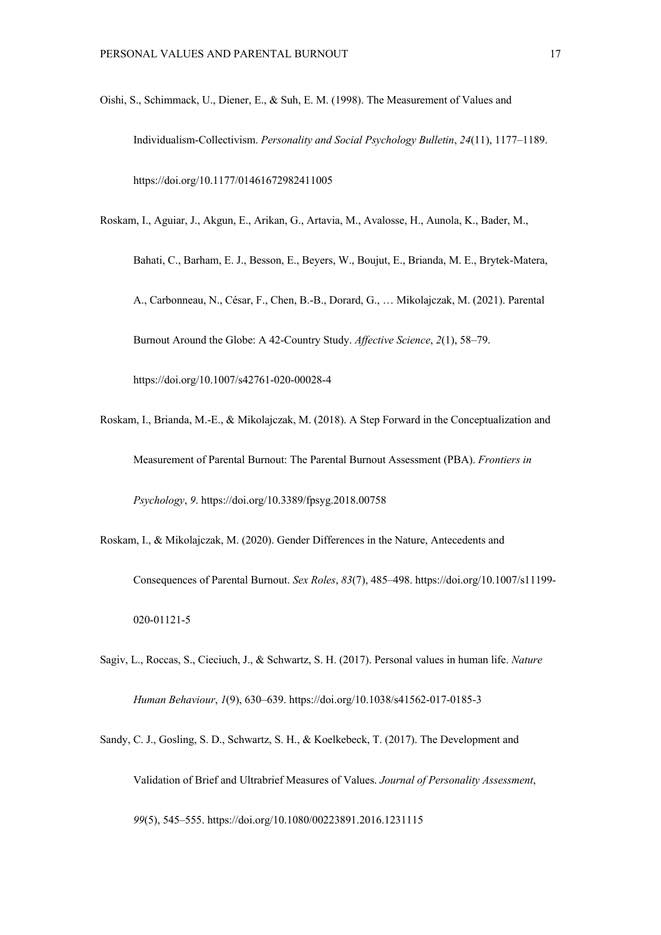- Oishi, S., Schimmack, U., Diener, E., & Suh, E. M. (1998). The Measurement of Values and Individualism-Collectivism. *Personality and Social Psychology Bulletin*, *24*(11), 1177–1189. https://doi.org/10.1177/01461672982411005
- Roskam, I., Aguiar, J., Akgun, E., Arikan, G., Artavia, M., Avalosse, H., Aunola, K., Bader, M.,

Bahati, C., Barham, E. J., Besson, E., Beyers, W., Boujut, E., Brianda, M. E., Brytek-Matera, A., Carbonneau, N., César, F., Chen, B.-B., Dorard, G., … Mikolajczak, M. (2021). Parental Burnout Around the Globe: A 42-Country Study. *Affective Science*, *2*(1), 58–79. https://doi.org/10.1007/s42761-020-00028-4

- Roskam, I., Brianda, M.-E., & Mikolajczak, M. (2018). A Step Forward in the Conceptualization and Measurement of Parental Burnout: The Parental Burnout Assessment (PBA). *Frontiers in Psychology*, *9*. https://doi.org/10.3389/fpsyg.2018.00758
- Roskam, I., & Mikolajczak, M. (2020). Gender Differences in the Nature, Antecedents and Consequences of Parental Burnout. *Sex Roles*, *83*(7), 485–498. https://doi.org/10.1007/s11199- 020-01121-5
- Sagiv, L., Roccas, S., Cieciuch, J., & Schwartz, S. H. (2017). Personal values in human life. *Nature Human Behaviour*, *1*(9), 630–639. https://doi.org/10.1038/s41562-017-0185-3
- Sandy, C. J., Gosling, S. D., Schwartz, S. H., & Koelkebeck, T. (2017). The Development and Validation of Brief and Ultrabrief Measures of Values. *Journal of Personality Assessment*, *99*(5), 545–555. https://doi.org/10.1080/00223891.2016.1231115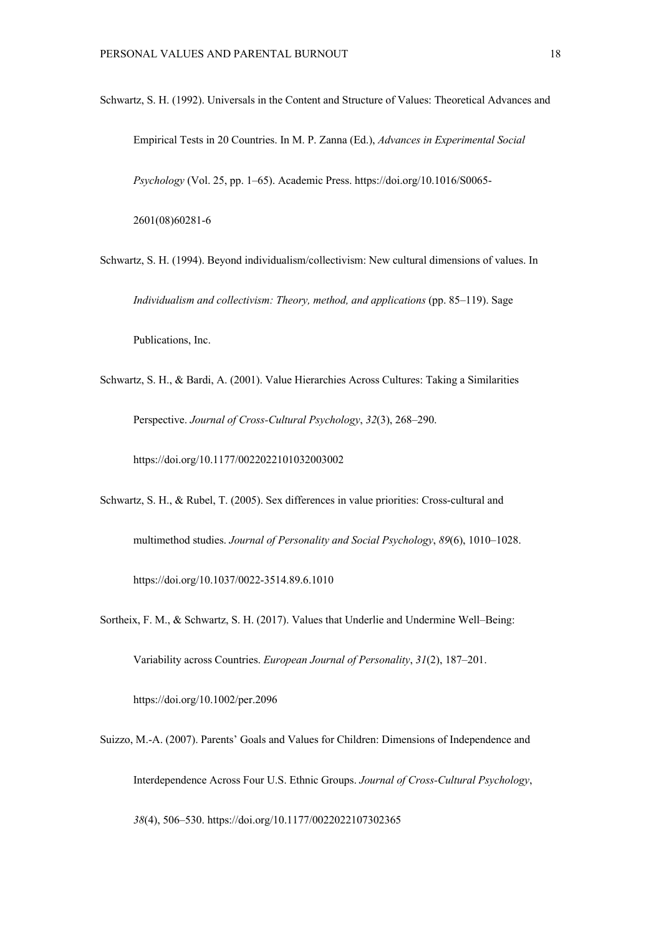Schwartz, S. H. (1992). Universals in the Content and Structure of Values: Theoretical Advances and Empirical Tests in 20 Countries. In M. P. Zanna (Ed.), *Advances in Experimental Social Psychology* (Vol. 25, pp. 1–65). Academic Press. https://doi.org/10.1016/S0065- 2601(08)60281-6

- Schwartz, S. H. (1994). Beyond individualism/collectivism: New cultural dimensions of values. In *Individualism and collectivism: Theory, method, and applications* (pp. 85–119). Sage Publications, Inc.
- Schwartz, S. H., & Bardi, A. (2001). Value Hierarchies Across Cultures: Taking a Similarities Perspective. *Journal of Cross-Cultural Psychology*, *32*(3), 268–290.

https://doi.org/10.1177/0022022101032003002

- Schwartz, S. H., & Rubel, T. (2005). Sex differences in value priorities: Cross-cultural and multimethod studies. *Journal of Personality and Social Psychology*, *89*(6), 1010–1028. https://doi.org/10.1037/0022-3514.89.6.1010
- Sortheix, F. M., & Schwartz, S. H. (2017). Values that Underlie and Undermine Well–Being: Variability across Countries. *European Journal of Personality*, *31*(2), 187–201. https://doi.org/10.1002/per.2096
- Suizzo, M.-A. (2007). Parents' Goals and Values for Children: Dimensions of Independence and Interdependence Across Four U.S. Ethnic Groups. *Journal of Cross-Cultural Psychology*,

*38*(4), 506–530. https://doi.org/10.1177/0022022107302365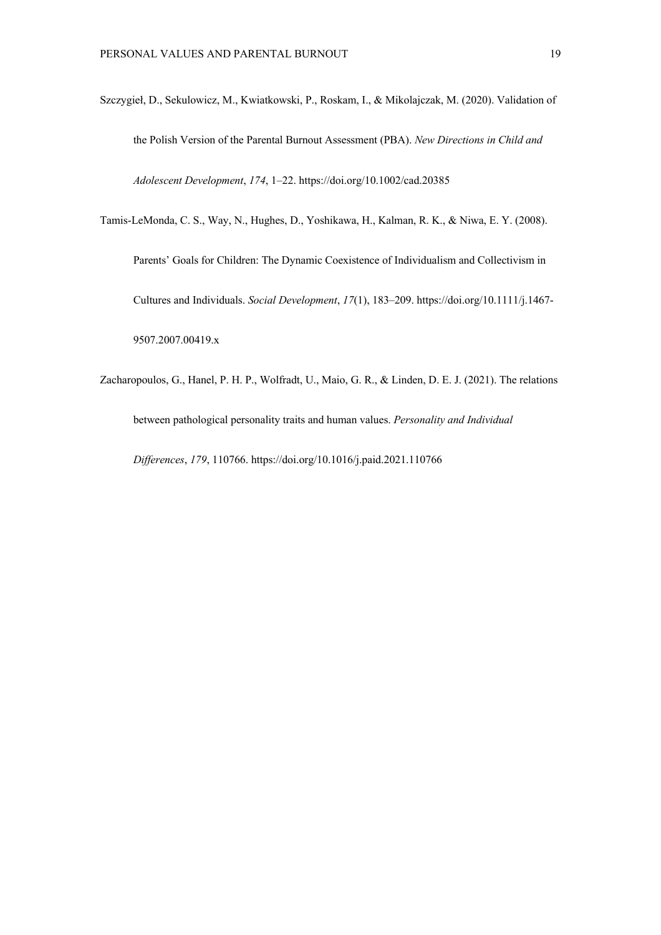Szczygieł, D., Sekulowicz, M., Kwiatkowski, P., Roskam, I., & Mikolajczak, M. (2020). Validation of the Polish Version of the Parental Burnout Assessment (PBA). *New Directions in Child and Adolescent Development*, *174*, 1–22. https://doi.org/10.1002/cad.20385

Tamis-LeMonda, C. S., Way, N., Hughes, D., Yoshikawa, H., Kalman, R. K., & Niwa, E. Y. (2008).

Parents' Goals for Children: The Dynamic Coexistence of Individualism and Collectivism in Cultures and Individuals. *Social Development*, *17*(1), 183–209. https://doi.org/10.1111/j.1467- 9507.2007.00419.x

Zacharopoulos, G., Hanel, P. H. P., Wolfradt, U., Maio, G. R., & Linden, D. E. J. (2021). The relations between pathological personality traits and human values. *Personality and Individual Differences*, *179*, 110766. https://doi.org/10.1016/j.paid.2021.110766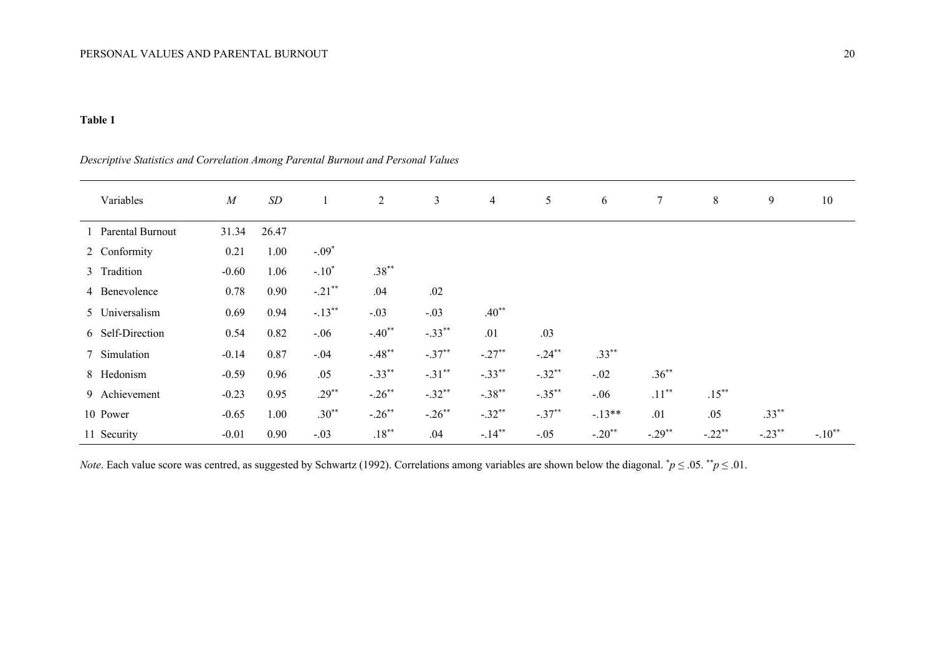# **Table 1**

| Variables          | $\boldsymbol{M}$ | $\,SD$ | 1         | 2         | 3         | $\overline{4}$ | 5         | 6        | $\tau$   | 8        | 9        | 10       |
|--------------------|------------------|--------|-----------|-----------|-----------|----------------|-----------|----------|----------|----------|----------|----------|
| 1 Parental Burnout | 31.34            | 26.47  |           |           |           |                |           |          |          |          |          |          |
| 2 Conformity       | 0.21             | 1.00   | $-.09*$   |           |           |                |           |          |          |          |          |          |
| 3 Tradition        | $-0.60$          | 1.06   | $-.10*$   | $.38***$  |           |                |           |          |          |          |          |          |
| 4 Benevolence      | 0.78             | 0.90   | $-.21$ ** | .04       | .02       |                |           |          |          |          |          |          |
| 5 Universalism     | 0.69             | 0.94   | $-.13***$ | $-.03$    | $-.03$    | $.40**$        |           |          |          |          |          |          |
| 6 Self-Direction   | 0.54             | 0.82   | $-.06$    | $-.40**$  | $-.33***$ | .01            | .03       |          |          |          |          |          |
| 7 Simulation       | $-0.14$          | 0.87   | $-.04$    | $-.48**$  | $-.37**$  | $-.27**$       | $-.24**$  | $.33***$ |          |          |          |          |
| 8 Hedonism         | $-0.59$          | 0.96   | .05       | $-.33***$ | $-.31***$ | $-.33**$       | $-.32**$  | $-.02$   | $.36***$ |          |          |          |
| 9 Achievement      | $-0.23$          | 0.95   | $.29***$  | $-.26$ ** | $-.32**$  | $-.38***$      | $-.35***$ | $-.06$   | $.11***$ | $.15***$ |          |          |
| 10 Power           | $-0.65$          | 1.00   | $.30**$   | $-.26$ ** | $-.26$ ** | $-.32**$       | $-.37**$  | $-13**$  | .01      | .05      | $.33***$ |          |
| 11 Security        | $-0.01$          | 0.90   | $-.03$    | $.18***$  | .04       | $-.14**$       | $-.05$    | $-.20**$ | $-.29**$ | $-.22**$ | $-.23**$ | $-.10**$ |

*Descriptive Statistics and Correlation Among Parental Burnout and Personal Values*

*Note*. Each value score was centred, as suggested by Schwartz (1992). Correlations among variables are shown below the diagonal.  $\dot{p} \leq 0.05$ .  $\dot{p} \leq 0.01$ .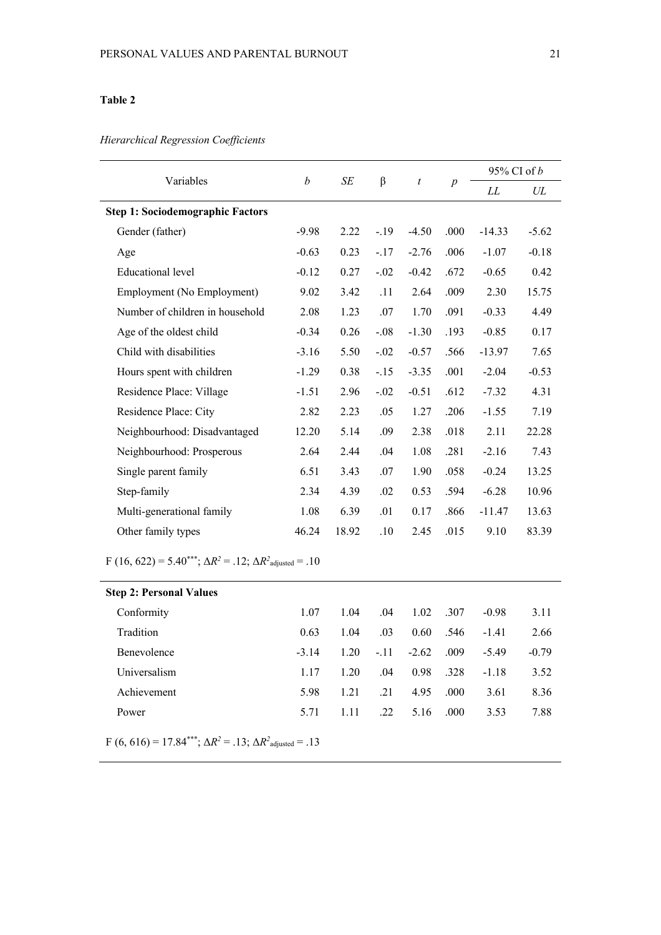# **Table 2**

*Hierarchical Regression Coefficients* 

| Variables                               | $\boldsymbol{b}$ | <b>SE</b> | β      | $\boldsymbol{t}$ | $\boldsymbol{p}$ | $95\%$ CI of b |         |
|-----------------------------------------|------------------|-----------|--------|------------------|------------------|----------------|---------|
|                                         |                  |           |        |                  |                  | LL             | UL      |
| <b>Step 1: Sociodemographic Factors</b> |                  |           |        |                  |                  |                |         |
| Gender (father)                         | $-9.98$          | 2.22      | $-.19$ | $-4.50$          | .000             | $-14.33$       | $-5.62$ |
| Age                                     | $-0.63$          | 0.23      | $-.17$ | $-2.76$          | .006             | $-1.07$        | $-0.18$ |
| Educational level                       | $-0.12$          | 0.27      | $-.02$ | $-0.42$          | .672             | $-0.65$        | 0.42    |
| Employment (No Employment)              | 9.02             | 3.42      | .11    | 2.64             | .009             | 2.30           | 15.75   |
| Number of children in household         | 2.08             | 1.23      | .07    | 1.70             | .091             | $-0.33$        | 4.49    |
| Age of the oldest child                 | $-0.34$          | 0.26      | $-.08$ | $-1.30$          | .193             | $-0.85$        | 0.17    |
| Child with disabilities                 | $-3.16$          | 5.50      | $-.02$ | $-0.57$          | .566             | $-13.97$       | 7.65    |
| Hours spent with children               | $-1.29$          | 0.38      | $-.15$ | $-3.35$          | .001             | $-2.04$        | $-0.53$ |
| Residence Place: Village                | $-1.51$          | 2.96      | $-.02$ | $-0.51$          | .612             | $-7.32$        | 4.31    |
| Residence Place: City                   | 2.82             | 2.23      | .05    | 1.27             | .206             | $-1.55$        | 7.19    |
| Neighbourhood: Disadvantaged            | 12.20            | 5.14      | .09    | 2.38             | .018             | 2.11           | 22.28   |
| Neighbourhood: Prosperous               | 2.64             | 2.44      | .04    | 1.08             | .281             | $-2.16$        | 7.43    |
| Single parent family                    | 6.51             | 3.43      | .07    | 1.90             | .058             | $-0.24$        | 13.25   |
| Step-family                             | 2.34             | 4.39      | .02    | 0.53             | .594             | $-6.28$        | 10.96   |
| Multi-generational family               | 1.08             | 6.39      | .01    | 0.17             | .866             | $-11.47$       | 13.63   |
| Other family types                      | 46.24            | 18.92     | .10    | 2.45             | .015             | 9.10           | 83.39   |

 $F(16, 622) = 5.40^{***}; \Delta R^2 = .12; \Delta R^2_{\text{adjusted}} = .10$ 

| <b>Step 2: Personal Values</b> |         |      |        |         |       |         |         |
|--------------------------------|---------|------|--------|---------|-------|---------|---------|
| Conformity                     | 1.07    | 1.04 | .04    | 1.02    | - 307 | $-0.98$ | 3.11    |
| Tradition                      | 0.63    | 1.04 | .03    | 0.60    | .546  | $-1.41$ | 2.66    |
| <b>Benevolence</b>             | $-3.14$ | 1.20 | $-.11$ | $-2.62$ | .009  | $-5.49$ | $-0.79$ |
| Universalism                   | 1.17    | 1.20 | .04    | 0.98    | -328  | $-1.18$ | 3.52    |
| Achievement                    | 5.98    | 1.21 | .21    | 4.95    | .000  | 3.61    | 8.36    |
| Power                          | 5.71    | 1.11 | .22    | 5.16    | .000. | 3.53    | 7.88    |

 $F (6, 616) = 17.84***; \Delta R^2 = .13; \Delta R^2_{\text{adjusted}} = .13$